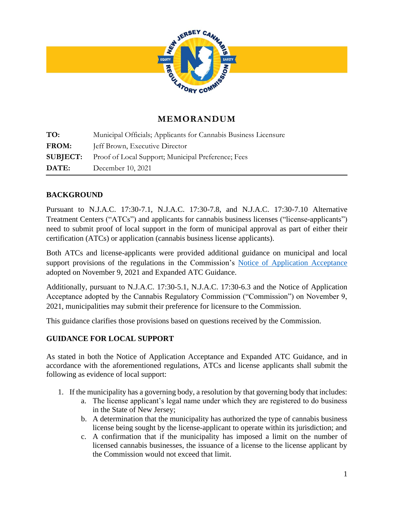

# **MEMORANDUM**

**TO:** Municipal Officials; Applicants for Cannabis Business Licensure FROM: **Jeff Brown**, Executive Director **SUBJECT:** Proof of Local Support; Municipal Preference; Fees **DATE:** December 10, 2021

# **BACKGROUND**

Pursuant to N.J.A.C. 17:30-7.1, N.J.A.C. 17:30-7.8, and N.J.A.C. 17:30-7.10 Alternative Treatment Centers ("ATCs") and applicants for cannabis business licenses ("license-applicants") need to submit proof of local support in the form of municipal approval as part of either their certification (ATCs) or application (cannabis business license applicants).

Both ATCs and license-applicants were provided additional guidance on municipal and local support provisions of the regulations in the Commission's [Notice of Application Acceptance](https://www.nj.gov/cannabis/documents/businesses/personal-use/Final%20Notice%20of%20Application%20Acceptance.pdf) adopted on November 9, 2021 and Expanded ATC Guidance.

Additionally, pursuant to N.J.A.C. 17:30-5.1, N.J.A.C. 17:30-6.3 and the Notice of Application Acceptance adopted by the Cannabis Regulatory Commission ("Commission") on November 9, 2021, municipalities may submit their preference for licensure to the Commission.

This guidance clarifies those provisions based on questions received by the Commission.

### **GUIDANCE FOR LOCAL SUPPORT**

As stated in both the Notice of Application Acceptance and Expanded ATC Guidance, and in accordance with the aforementioned regulations, ATCs and license applicants shall submit the following as evidence of local support:

- 1. If the municipality has a governing body, a resolution by that governing body that includes:
	- a. The license applicant's legal name under which they are registered to do business in the State of New Jersey;
	- b. A determination that the municipality has authorized the type of cannabis business license being sought by the license-applicant to operate within its jurisdiction; and
	- c. A confirmation that if the municipality has imposed a limit on the number of licensed cannabis businesses, the issuance of a license to the license applicant by the Commission would not exceed that limit.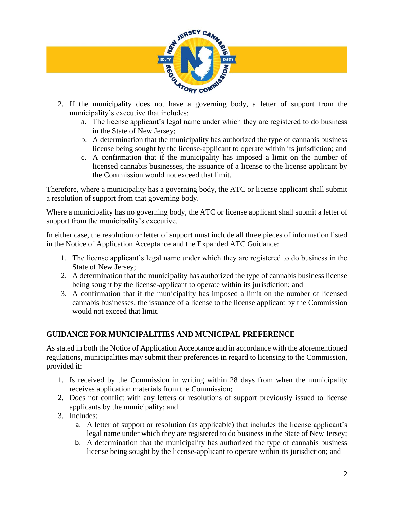

- municipality's executive that includes:
	- a. The license applicant's legal name under which they are registered to do business in the State of New Jersey;
	- b. A determination that the municipality has authorized the type of cannabis business license being sought by the license-applicant to operate within its jurisdiction; and
	- c. A confirmation that if the municipality has imposed a limit on the number of licensed cannabis businesses, the issuance of a license to the license applicant by the Commission would not exceed that limit.

Therefore, where a municipality has a governing body, the ATC or license applicant shall submit a resolution of support from that governing body.

Where a municipality has no governing body, the ATC or license applicant shall submit a letter of support from the municipality's executive.

In either case, the resolution or letter of support must include all three pieces of information listed in the Notice of Application Acceptance and the Expanded ATC Guidance:

- 1. The license applicant's legal name under which they are registered to do business in the State of New Jersey;
- 2. A determination that the municipality has authorized the type of cannabis business license being sought by the license-applicant to operate within its jurisdiction; and
- 3. A confirmation that if the municipality has imposed a limit on the number of licensed cannabis businesses, the issuance of a license to the license applicant by the Commission would not exceed that limit.

# **GUIDANCE FOR MUNICIPALITIES AND MUNICIPAL PREFERENCE**

As stated in both the Notice of Application Acceptance and in accordance with the aforementioned regulations, municipalities may submit their preferences in regard to licensing to the Commission, provided it:

- 1. Is received by the Commission in writing within 28 days from when the municipality receives application materials from the Commission;
- 2. Does not conflict with any letters or resolutions of support previously issued to license applicants by the municipality; and
- 3. Includes:
	- a. A letter of support or resolution (as applicable) that includes the license applicant's legal name under which they are registered to do business in the State of New Jersey;
	- b. A determination that the municipality has authorized the type of cannabis business license being sought by the license-applicant to operate within its jurisdiction; and